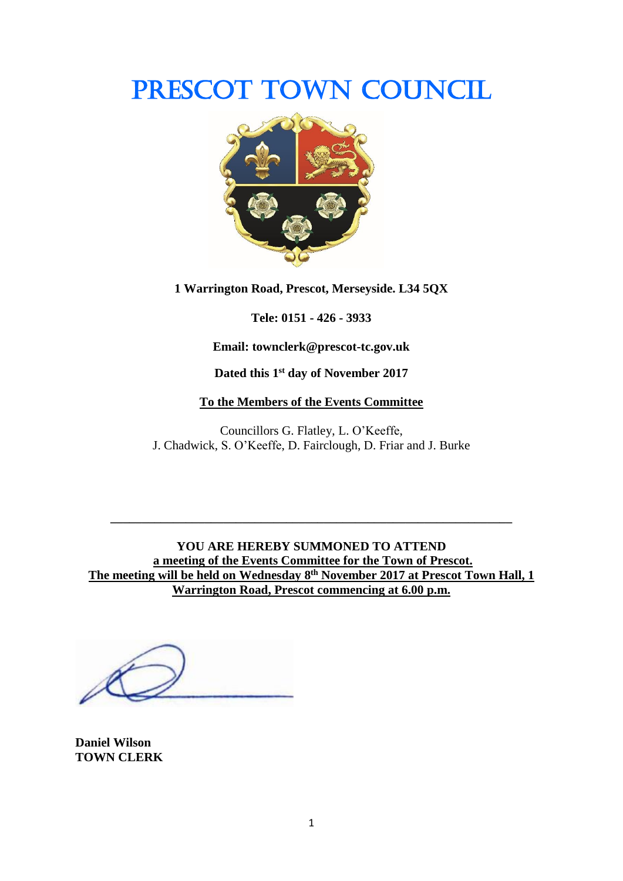# PRESCOT TOWN COUNCIL



**1 Warrington Road, Prescot, Merseyside. L34 5QX**

**Tele: 0151 - 426 - 3933**

**Email: townclerk@prescot-tc.gov.uk**

**Dated this 1 st day of November 2017**

#### **To the Members of the Events Committee**

Councillors G. Flatley, L. O'Keeffe, J. Chadwick, S. O'Keeffe, D. Fairclough, D. Friar and J. Burke

**YOU ARE HEREBY SUMMONED TO ATTEND a meeting of the Events Committee for the Town of Prescot. The meeting will be held on Wednesday 8 th November 2017 at Prescot Town Hall, 1 Warrington Road, Prescot commencing at 6.00 p.m.**

**\_\_\_\_\_\_\_\_\_\_\_\_\_\_\_\_\_\_\_\_\_\_\_\_\_\_\_\_\_\_\_\_\_\_\_\_\_\_\_\_\_\_\_\_\_\_\_\_\_\_\_\_\_\_\_\_\_\_\_\_\_\_\_\_**

**Daniel Wilson TOWN CLERK**